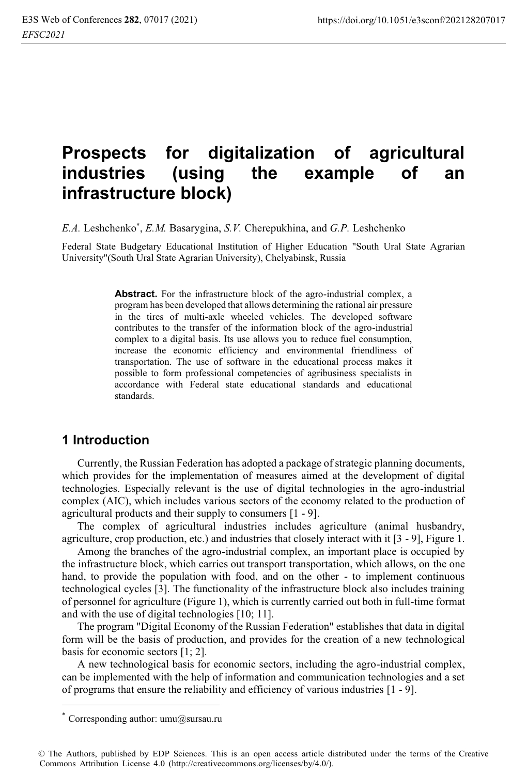# **Prospects for digitalization of agricultural industries (using the example of an infrastructure block)**

*E.A.* Leshchenko\* , *E.M.* Basarygina, *S.V.* Cherepukhina, and *G.P.* Leshchenko

Federal State Budgetary Educational Institution of Higher Education "South Ural State Agrarian University"(South Ural State Agrarian University), Chelyabinsk, Russia

> Abstract. For the infrastructure block of the agro-industrial complex, a program has been developed that allows determining the rational air pressure in the tires of multi-axle wheeled vehicles. The developed software contributes to the transfer of the information block of the agro-industrial complex to a digital basis. Its use allows you to reduce fuel consumption, increase the economic efficiency and environmental friendliness of transportation. The use of software in the educational process makes it possible to form professional competencies of agribusiness specialists in accordance with Federal state educational standards and educational standards.

### **1 Introduction**

Currently, the Russian Federation has adopted a package of strategic planning documents, which provides for the implementation of measures aimed at the development of digital technologies. Especially relevant is the use of digital technologies in the agro-industrial complex (AIC), which includes various sectors of the economy related to the production of agricultural products and their supply to consumers [1 - 9].

The complex of agricultural industries includes agriculture (animal husbandry, agriculture, crop production, etc.) and industries that closely interact with it [3 - 9], Figure 1.

Among the branches of the agro-industrial complex, an important place is occupied by the infrastructure block, which carries out transport transportation, which allows, on the one hand, to provide the population with food, and on the other - to implement continuous technological cycles [3]. The functionality of the infrastructure block also includes training of personnel for agriculture (Figure 1), which is currently carried out both in full-time format and with the use of digital technologies [10; 11].

The program "Digital Economy of the Russian Federation" establishes that data in digital form will be the basis of production, and provides for the creation of a new technological basis for economic sectors [1; 2].

A new technological basis for economic sectors, including the agro-industrial complex, can be implemented with the help of information and communication technologies and a set of programs that ensure the reliability and efficiency of various industries [1 - 9].

Corresponding author: umu@sursau.ru

<sup>©</sup> The Authors, published by EDP Sciences. This is an open access article distributed under the terms of the Creative Commons Attribution License 4.0 (http://creativecommons.org/licenses/by/4.0/).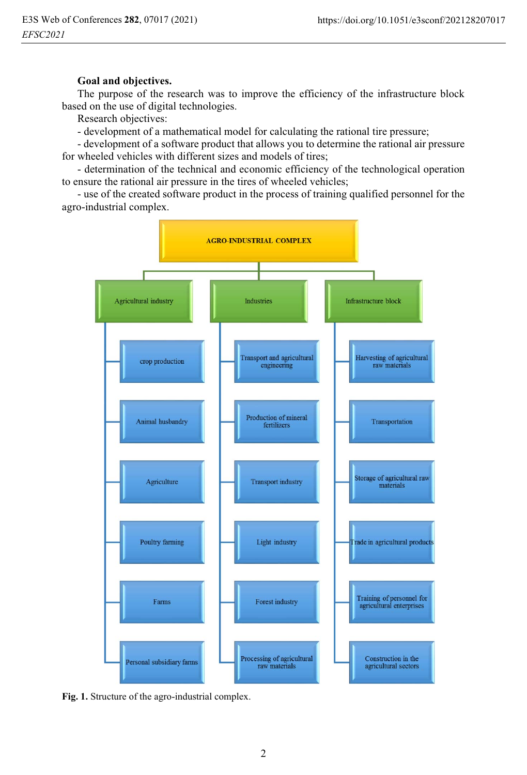#### **Goal and objectives.**

The purpose of the research was to improve the efficiency of the infrastructure block based on the use of digital technologies.

Research objectives:

- development of a mathematical model for calculating the rational tire pressure;

- development of a software product that allows you to determine the rational air pressure for wheeled vehicles with different sizes and models of tires;

- determination of the technical and economic efficiency of the technological operation to ensure the rational air pressure in the tires of wheeled vehicles;

- use of the created software product in the process of training qualified personnel for the agro-industrial complex.



**Fig. 1.** Structure of the agro-industrial complex.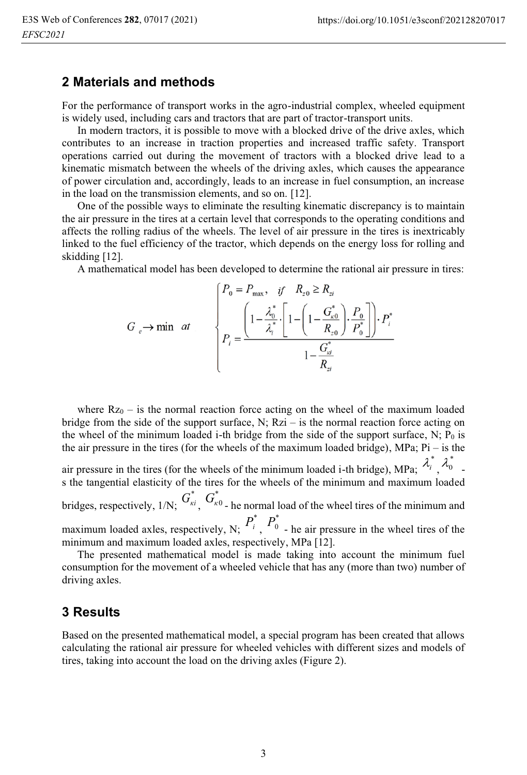#### **2 Materials and methods**

For the performance of transport works in the agro-industrial complex, wheeled equipment is widely used, including cars and tractors that are part of tractor-transport units.

In modern tractors, it is possible to move with a blocked drive of the drive axles, which contributes to an increase in traction properties and increased traffic safety. Transport operations carried out during the movement of tractors with a blocked drive lead to a kinematic mismatch between the wheels of the driving axles, which causes the appearance of power circulation and, accordingly, leads to an increase in fuel consumption, an increase in the load on the transmission elements, and so on. [12].

One of the possible ways to eliminate the resulting kinematic discrepancy is to maintain the air pressure in the tires at a certain level that corresponds to the operating conditions and affects the rolling radius of the wheels. The level of air pressure in the tires is inextricably linked to the fuel efficiency of the tractor, which depends on the energy loss for rolling and skidding [12].

A mathematical model has been developed to determine the rational air pressure in tires:

$$
G_e \to \min \quad at \qquad \begin{cases} P_0 = P_{\max}, & \text{if} \quad R_{z0} \ge R_{z1} \\ & \text{if} \quad R_{z0} \ge R_{z1} \\ P_i = \frac{\left(1 - \frac{\lambda_0^*}{\lambda_i^*} \cdot \left[1 - \left(1 - \frac{G_{k0}^*}{R_{z0}}\right) \cdot \frac{P_0}{P_0^*}\right]\right) \cdot P_i^*}{1 - \frac{G_{ki}^*}{R_{z1}}} \end{cases}
$$

where  $Rz_0$  – is the normal reaction force acting on the wheel of the maximum loaded bridge from the side of the support surface, N;  $Rzi - is$  the normal reaction force acting on the wheel of the minimum loaded i-th bridge from the side of the support surface, N;  $P_0$  is the air pressure in the tires (for the wheels of the maximum loaded bridge), МPа; Рi – is the

air pressure in the tires (for the wheels of the minimum loaded i-th bridge), MPa;  $\frac{\lambda_i}{\lambda_i}$ ,  $\frac{\lambda_i}{\lambda_i}$ s the tangential elasticity of the tires for the wheels of the minimum and maximum loaded  $\lambda_i^*$   $\lambda_0^*$ 

bridges, respectively,  $1/N$ ;  $G_{\kappa i}^*$ ,  $G_{\kappa 0}^*$  - he normal load of the wheel tires of the minimum and maximum loaded axles, respectively, N;  $P_i^*$ ,  $P_0^*$  - he air pressure in the wheel tires of the

minimum and maximum loaded axles, respectively, МPа [12].

The presented mathematical model is made taking into account the minimum fuel consumption for the movement of a wheeled vehicle that has any (more than two) number of driving axles.

#### **3 Results**

Based on the presented mathematical model, a special program has been created that allows calculating the rational air pressure for wheeled vehicles with different sizes and models of tires, taking into account the load on the driving axles (Figure 2).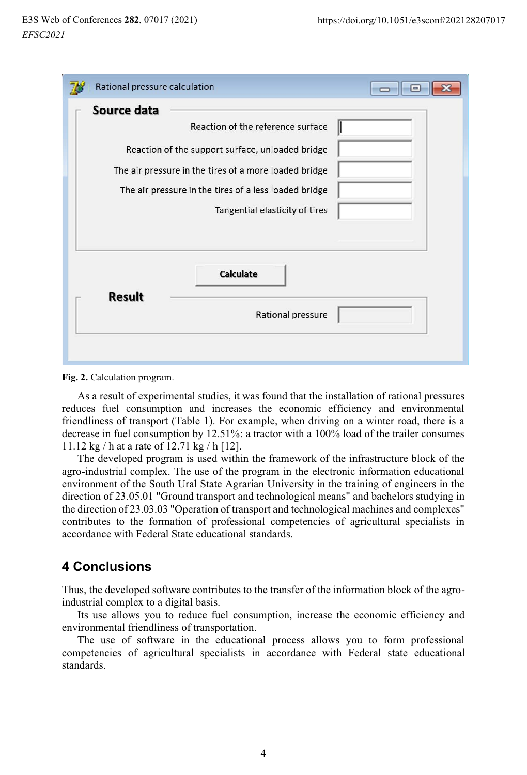| Rational pressure calculation                         |  |
|-------------------------------------------------------|--|
| Source data                                           |  |
| Reaction of the reference surface                     |  |
| Reaction of the support surface, unloaded bridge      |  |
| The air pressure in the tires of a more loaded bridge |  |
| The air pressure in the tires of a less loaded bridge |  |
| Tangential elasticity of tires                        |  |
| <b>Calculate</b><br>Result<br>Rational pressure       |  |

**Fig. 2.** Calculation program.

As a result of experimental studies, it was found that the installation of rational pressures reduces fuel consumption and increases the economic efficiency and environmental friendliness of transport (Table 1). For example, when driving on a winter road, there is a decrease in fuel consumption by 12.51%: a tractor with a 100% load of the trailer consumes 11.12 kg / h at a rate of 12.71 kg / h [12].

The developed program is used within the framework of the infrastructure block of the agro-industrial complex. The use of the program in the electronic information educational environment of the South Ural State Agrarian University in the training of engineers in the direction of 23.05.01 "Ground transport and technological means" and bachelors studying in the direction of 23.03.03 "Operation of transport and technological machines and complexes" contributes to the formation of professional competencies of agricultural specialists in accordance with Federal State educational standards.

# **4 Conclusions**

Thus, the developed software contributes to the transfer of the information block of the agroindustrial complex to a digital basis.

Its use allows you to reduce fuel consumption, increase the economic efficiency and environmental friendliness of transportation.

The use of software in the educational process allows you to form professional competencies of agricultural specialists in accordance with Federal state educational standards.